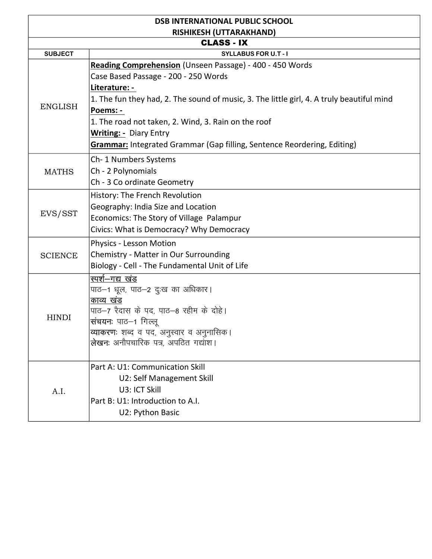| <b>DSB INTERNATIONAL PUBLIC SCHOOL</b> |                                                                                                                                                                                                                                                                                   |  |
|----------------------------------------|-----------------------------------------------------------------------------------------------------------------------------------------------------------------------------------------------------------------------------------------------------------------------------------|--|
| <b>RISHIKESH (UTTARAKHAND)</b>         |                                                                                                                                                                                                                                                                                   |  |
| <b>CLASS - IX</b>                      |                                                                                                                                                                                                                                                                                   |  |
| <b>SUBJECT</b>                         | <b>SYLLABUS FOR U.T - I</b>                                                                                                                                                                                                                                                       |  |
| <b>ENGLISH</b>                         | Reading Comprehension (Unseen Passage) - 400 - 450 Words<br>Case Based Passage - 200 - 250 Words<br>Literature: -<br>1. The fun they had, 2. The sound of music, 3. The little girl, 4. A truly beautiful mind<br>Poems: -<br>1. The road not taken, 2. Wind, 3. Rain on the roof |  |
|                                        | <b>Writing: - Diary Entry</b><br><b>Grammar:</b> Integrated Grammar (Gap filling, Sentence Reordering, Editing)                                                                                                                                                                   |  |
| <b>MATHS</b>                           | Ch-1 Numbers Systems<br>Ch - 2 Polynomials<br>Ch - 3 Co ordinate Geometry                                                                                                                                                                                                         |  |
| EVS/SST                                | History: The French Revolution<br>Geography: India Size and Location<br>Economics: The Story of Village Palampur<br>Civics: What is Democracy? Why Democracy                                                                                                                      |  |
| <b>SCIENCE</b>                         | <b>Physics - Lesson Motion</b><br>Chemistry - Matter in Our Surrounding<br>Biology - Cell - The Fundamental Unit of Life                                                                                                                                                          |  |
| <b>HINDI</b>                           | स्पर्श-गद्य खंड<br>पाठ–1 धूल, पाठ–2 दुःख का अधिकार।<br>काव्य खंड<br>पाठ–7 रैदास के पद, पाठ–8 रहीम के दोहे।<br><b>संचयनः</b> पाठ–1 गिल्लू<br><b>व्याकरणः</b> शब्द व पद, अनुस्वार व अनुनासिक।<br>लेखनः अनौपचारिक पत्र, अपठित गद्यांश।                                               |  |
| A.I.                                   | Part A: U1: Communication Skill<br>U2: Self Management Skill<br>U3: ICT Skill<br>Part B: U1: Introduction to A.I.<br>U2: Python Basic                                                                                                                                             |  |